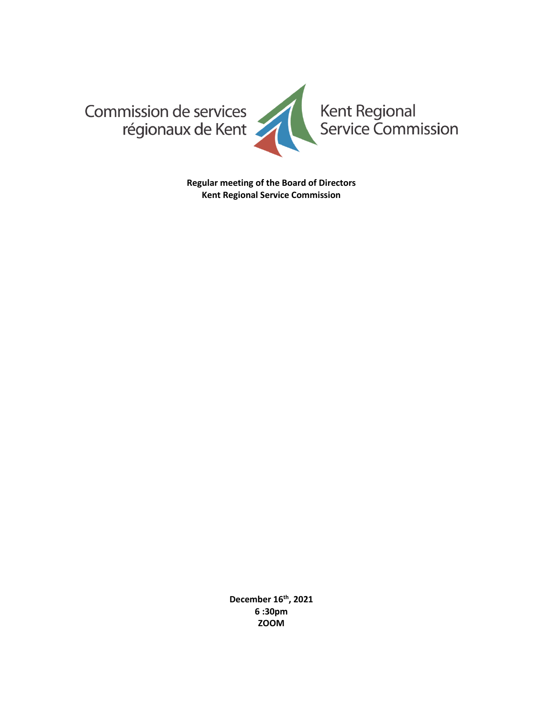

**Regular meeting of the Board of Directors Kent Regional Service Commission**

> **December 16th , 2021 6 :30pm ZOOM**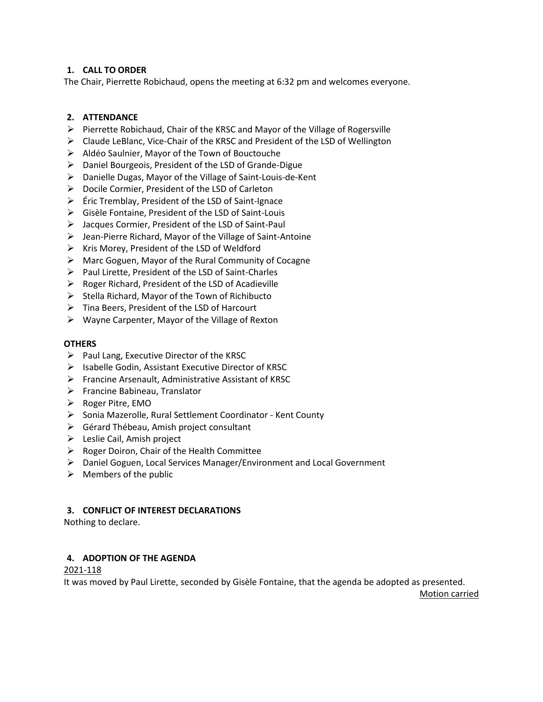# **1. CALL TO ORDER**

The Chair, Pierrette Robichaud, opens the meeting at 6:32 pm and welcomes everyone.

# **2. ATTENDANCE**

- ➢ Pierrette Robichaud, Chair of the KRSC and Mayor of the Village of Rogersville
- ➢ Claude LeBlanc, Vice-Chair of the KRSC and President of the LSD of Wellington
- ➢ Aldéo Saulnier, Mayor of the Town of Bouctouche
- ➢ Daniel Bourgeois, President of the LSD of Grande-Digue
- ➢ Danielle Dugas, Mayor of the Village of Saint-Louis-de-Kent
- ➢ Docile Cormier, President of the LSD of Carleton
- ➢ Éric Tremblay, President of the LSD of Saint-Ignace
- ➢ Gisèle Fontaine, President of the LSD of Saint-Louis
- ➢ Jacques Cormier, President of the LSD of Saint-Paul
- ➢ Jean-Pierre Richard, Mayor of the Village of Saint-Antoine
- ➢ Kris Morey, President of the LSD of Weldford
- ➢ Marc Goguen, Mayor of the Rural Community of Cocagne
- ➢ Paul Lirette, President of the LSD of Saint-Charles
- $\triangleright$  Roger Richard, President of the LSD of Acadieville
- $\triangleright$  Stella Richard, Mayor of the Town of Richibucto
- ➢ Tina Beers, President of the LSD of Harcourt
- ➢ Wayne Carpenter, Mayor of the Village of Rexton

#### **OTHERS**

- $\triangleright$  Paul Lang, Executive Director of the KRSC
- ➢ Isabelle Godin, Assistant Executive Director of KRSC
- ➢ Francine Arsenault, Administrative Assistant of KRSC
- ➢ Francine Babineau, Translator
- ➢ Roger Pitre, EMO
- ➢ Sonia Mazerolle, Rural Settlement Coordinator Kent County
- ➢ Gérard Thébeau, Amish project consultant
- ➢ Leslie Cail, Amish project
- $\triangleright$  Roger Doiron, Chair of the Health Committee
- ➢ Daniel Goguen, Local Services Manager/Environment and Local Government
- $\triangleright$  Members of the public

#### **3. CONFLICT OF INTEREST DECLARATIONS**

Nothing to declare.

# **4. ADOPTION OF THE AGENDA**

2021-118

It was moved by Paul Lirette, seconded by Gisèle Fontaine, that the agenda be adopted as presented.

Motion carried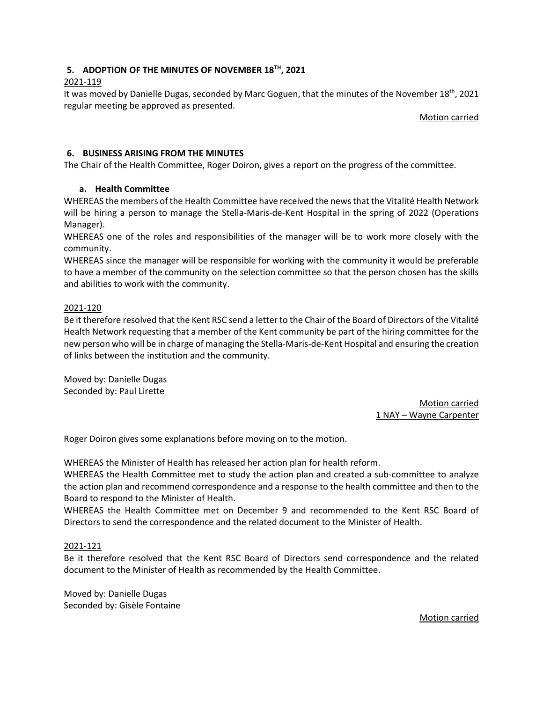# **5. ADOPTION OF THE MINUTES OF NOVEMBER 18TH , 2021**

## 2021-119

It was moved by Danielle Dugas, seconded by Marc Goguen, that the minutes of the November 18<sup>th</sup>, 2021 regular meeting be approved as presented.

Motion carried

## **6. BUSINESS ARISING FROM THE MINUTES**

The Chair of the Health Committee, Roger Doiron, gives a report on the progress of the committee.

## **a. Health Committee**

WHEREAS the members of the Health Committee have received the news that the Vitalité Health Network will be hiring a person to manage the Stella-Maris-de-Kent Hospital in the spring of 2022 (Operations Manager).

WHEREAS one of the roles and responsibilities of the manager will be to work more closely with the community.

WHEREAS since the manager will be responsible for working with the community it would be preferable to have a member of the community on the selection committee so that the person chosen has the skills and abilities to work with the community.

## 2021-120

Be it therefore resolved that the Kent RSC send a letter to the Chair of the Board of Directors of the Vitalité Health Network requesting that a member of the Kent community be part of the hiring committee for the new person who will be in charge of managing the Stella-Maris-de-Kent Hospital and ensuring the creation of links between the institution and the community.

Moved by: Danielle Dugas Seconded by: Paul Lirette

> Motion carried 1 NAY – Wayne Carpenter

Roger Doiron gives some explanations before moving on to the motion.

WHEREAS the Minister of Health has released her action plan for health reform.

WHEREAS the Health Committee met to study the action plan and created a sub-committee to analyze the action plan and recommend correspondence and a response to the health committee and then to the Board to respond to the Minister of Health.

WHEREAS the Health Committee met on December 9 and recommended to the Kent RSC Board of Directors to send the correspondence and the related document to the Minister of Health.

#### 2021-121

Be it therefore resolved that the Kent RSC Board of Directors send correspondence and the related document to the Minister of Health as recommended by the Health Committee.

Moved by: Danielle Dugas Seconded by: Gisèle Fontaine

Motion carried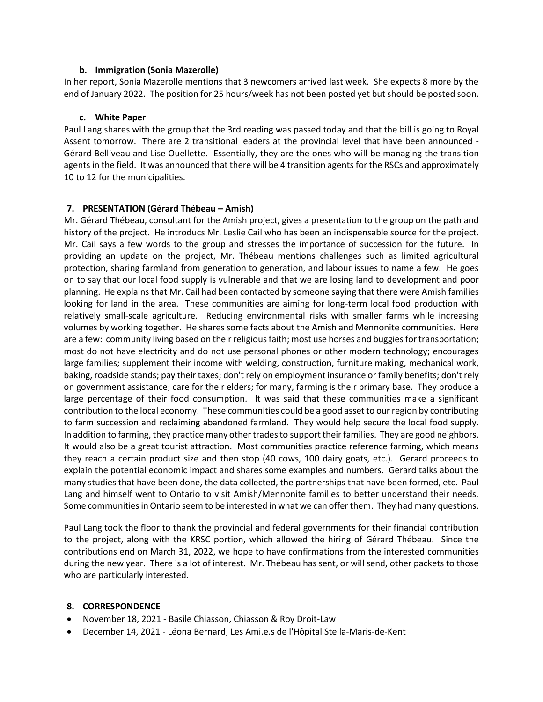#### **b. Immigration (Sonia Mazerolle)**

In her report, Sonia Mazerolle mentions that 3 newcomers arrived last week. She expects 8 more by the end of January 2022. The position for 25 hours/week has not been posted yet but should be posted soon.

#### **c. White Paper**

Paul Lang shares with the group that the 3rd reading was passed today and that the bill is going to Royal Assent tomorrow. There are 2 transitional leaders at the provincial level that have been announced - Gérard Belliveau and Lise Ouellette. Essentially, they are the ones who will be managing the transition agents in the field. It was announced that there will be 4 transition agents for the RSCs and approximately 10 to 12 for the municipalities.

#### **7. PRESENTATION (Gérard Thébeau – Amish)**

Mr. Gérard Thébeau, consultant for the Amish project, gives a presentation to the group on the path and history of the project. He introducs Mr. Leslie Cail who has been an indispensable source for the project. Mr. Cail says a few words to the group and stresses the importance of succession for the future. In providing an update on the project, Mr. Thébeau mentions challenges such as limited agricultural protection, sharing farmland from generation to generation, and labour issues to name a few. He goes on to say that our local food supply is vulnerable and that we are losing land to development and poor planning. He explains that Mr. Cail had been contacted by someone saying that there were Amish families looking for land in the area. These communities are aiming for long-term local food production with relatively small-scale agriculture. Reducing environmental risks with smaller farms while increasing volumes by working together. He shares some facts about the Amish and Mennonite communities. Here are a few: community living based on their religious faith; most use horses and buggies for transportation; most do not have electricity and do not use personal phones or other modern technology; encourages large families; supplement their income with welding, construction, furniture making, mechanical work, baking, roadside stands; pay their taxes; don't rely on employment insurance or family benefits; don't rely on government assistance; care for their elders; for many, farming is their primary base. They produce a large percentage of their food consumption. It was said that these communities make a significant contribution to the local economy. These communities could be a good asset to our region by contributing to farm succession and reclaiming abandoned farmland. They would help secure the local food supply. In addition to farming, they practice many other trades to support their families. They are good neighbors. It would also be a great tourist attraction. Most communities practice reference farming, which means they reach a certain product size and then stop (40 cows, 100 dairy goats, etc.). Gerard proceeds to explain the potential economic impact and shares some examples and numbers. Gerard talks about the many studies that have been done, the data collected, the partnerships that have been formed, etc. Paul Lang and himself went to Ontario to visit Amish/Mennonite families to better understand their needs. Some communities in Ontario seem to be interested in what we can offer them. They had many questions.

Paul Lang took the floor to thank the provincial and federal governments for their financial contribution to the project, along with the KRSC portion, which allowed the hiring of Gérard Thébeau. Since the contributions end on March 31, 2022, we hope to have confirmations from the interested communities during the new year. There is a lot of interest. Mr. Thébeau has sent, or will send, other packets to those who are particularly interested.

#### **8. CORRESPONDENCE**

- November 18, 2021 Basile Chiasson, Chiasson & Roy Droit-Law
- December 14, 2021 Léona Bernard, Les Ami.e.s de l'Hôpital Stella-Maris-de-Kent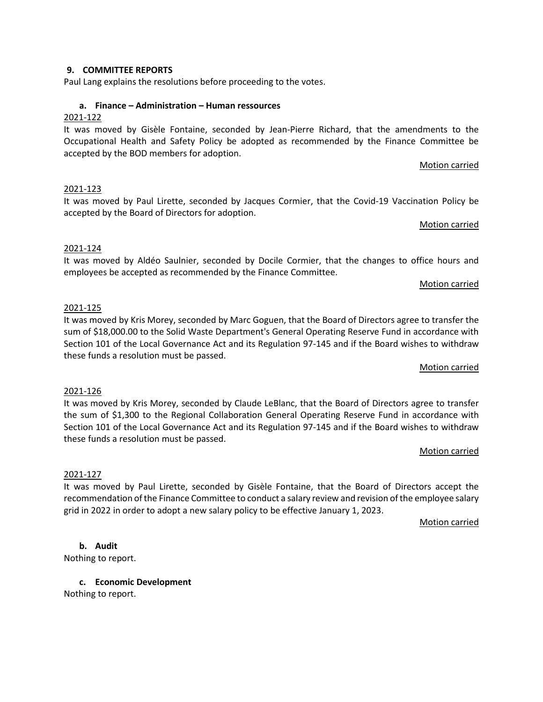# **9. COMMITTEE REPORTS**

Paul Lang explains the resolutions before proceeding to the votes.

# **a. Finance – Administration – Human ressources**

# 2021-122

It was moved by Gisèle Fontaine, seconded by Jean-Pierre Richard, that the amendments to the Occupational Health and Safety Policy be adopted as recommended by the Finance Committee be accepted by the BOD members for adoption.

# Motion carried

# 2021-123

It was moved by Paul Lirette, seconded by Jacques Cormier, that the Covid-19 Vaccination Policy be accepted by the Board of Directors for adoption.

#### Motion carried

## 2021-124

It was moved by Aldéo Saulnier, seconded by Docile Cormier, that the changes to office hours and employees be accepted as recommended by the Finance Committee.

#### Motion carried

## 2021-125

It was moved by Kris Morey, seconded by Marc Goguen, that the Board of Directors agree to transfer the sum of \$18,000.00 to the Solid Waste Department's General Operating Reserve Fund in accordance with Section 101 of the Local Governance Act and its Regulation 97-145 and if the Board wishes to withdraw these funds a resolution must be passed.

#### Motion carried

#### 2021-126

It was moved by Kris Morey, seconded by Claude LeBlanc, that the Board of Directors agree to transfer the sum of \$1,300 to the Regional Collaboration General Operating Reserve Fund in accordance with Section 101 of the Local Governance Act and its Regulation 97-145 and if the Board wishes to withdraw these funds a resolution must be passed.

#### Motion carried

#### 2021-127

It was moved by Paul Lirette, seconded by Gisèle Fontaine, that the Board of Directors accept the recommendation of the Finance Committee to conduct a salary review and revision of the employee salary grid in 2022 in order to adopt a new salary policy to be effective January 1, 2023.

Motion carried

# **b. Audit**

Nothing to report.

**c. Economic Development** Nothing to report.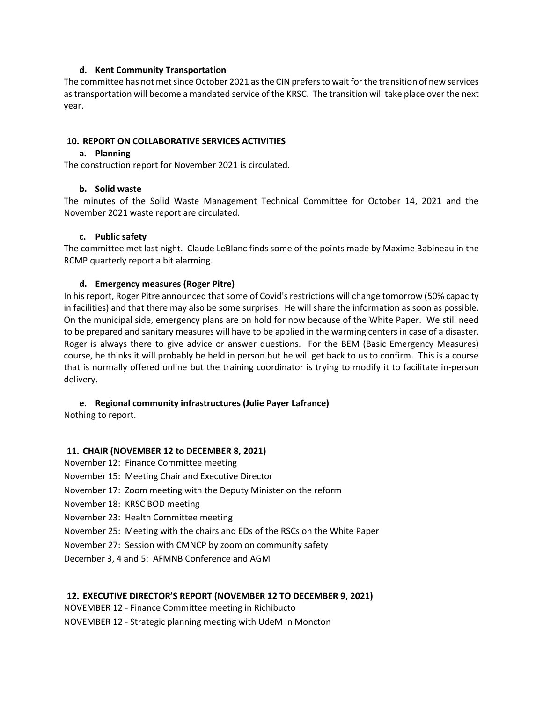#### **d. Kent Community Transportation**

The committee has not met since October 2021 as the CIN prefers to wait for the transition of new services as transportation will become a mandated service of the KRSC. The transition will take place over the next year.

#### **10. REPORT ON COLLABORATIVE SERVICES ACTIVITIES**

#### **a. Planning**

The construction report for November 2021 is circulated.

#### **b. Solid waste**

The minutes of the Solid Waste Management Technical Committee for October 14, 2021 and the November 2021 waste report are circulated.

#### **c. Public safety**

The committee met last night. Claude LeBlanc finds some of the points made by Maxime Babineau in the RCMP quarterly report a bit alarming.

#### **d. Emergency measures (Roger Pitre)**

In his report, Roger Pitre announced that some of Covid's restrictions will change tomorrow (50% capacity in facilities) and that there may also be some surprises. He will share the information as soon as possible. On the municipal side, emergency plans are on hold for now because of the White Paper. We still need to be prepared and sanitary measures will have to be applied in the warming centers in case of a disaster. Roger is always there to give advice or answer questions. For the BEM (Basic Emergency Measures) course, he thinks it will probably be held in person but he will get back to us to confirm. This is a course that is normally offered online but the training coordinator is trying to modify it to facilitate in-person delivery.

#### **e. Regional community infrastructures (Julie Payer Lafrance)**

Nothing to report.

#### **11. CHAIR (NOVEMBER 12 to DECEMBER 8, 2021)**

- November 12: Finance Committee meeting
- November 15: Meeting Chair and Executive Director
- November 17: Zoom meeting with the Deputy Minister on the reform
- November 18: KRSC BOD meeting
- November 23: Health Committee meeting
- November 25: Meeting with the chairs and EDs of the RSCs on the White Paper
- November 27: Session with CMNCP by zoom on community safety
- December 3, 4 and 5: AFMNB Conference and AGM

#### **12. EXECUTIVE DIRECTOR'S REPORT (NOVEMBER 12 TO DECEMBER 9, 2021)**

NOVEMBER 12 - Finance Committee meeting in Richibucto

NOVEMBER 12 - Strategic planning meeting with UdeM in Moncton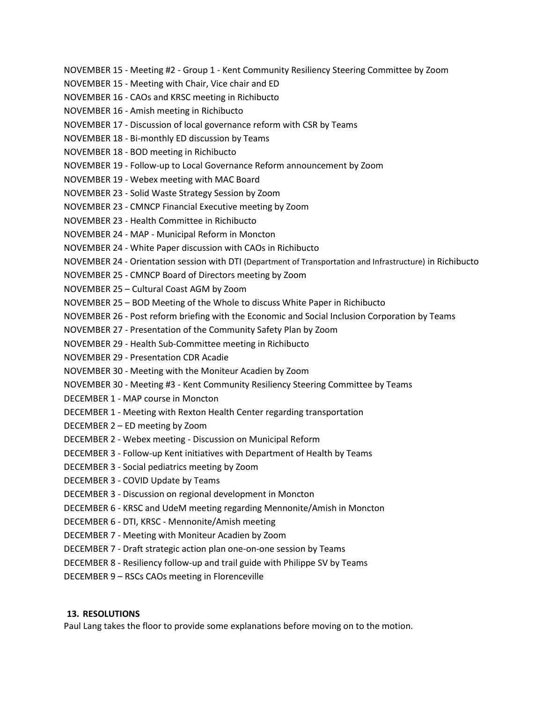NOVEMBER 15 - Meeting #2 - Group 1 - Kent Community Resiliency Steering Committee by Zoom NOVEMBER 15 - Meeting with Chair, Vice chair and ED NOVEMBER 16 - CAOs and KRSC meeting in Richibucto NOVEMBER 16 - Amish meeting in Richibucto NOVEMBER 17 - Discussion of local governance reform with CSR by Teams NOVEMBER 18 - Bi-monthly ED discussion by Teams NOVEMBER 18 - BOD meeting in Richibucto NOVEMBER 19 - Follow-up to Local Governance Reform announcement by Zoom NOVEMBER 19 - Webex meeting with MAC Board NOVEMBER 23 - Solid Waste Strategy Session by Zoom NOVEMBER 23 - CMNCP Financial Executive meeting by Zoom NOVEMBER 23 - Health Committee in Richibucto NOVEMBER 24 - MAP - Municipal Reform in Moncton NOVEMBER 24 - White Paper discussion with CAOs in Richibucto NOVEMBER 24 - Orientation session with DTI (Department of Transportation and Infrastructure) in Richibucto NOVEMBER 25 - CMNCP Board of Directors meeting by Zoom NOVEMBER 25 – Cultural Coast AGM by Zoom NOVEMBER 25 – BOD Meeting of the Whole to discuss White Paper in Richibucto NOVEMBER 26 - Post reform briefing with the Economic and Social Inclusion Corporation by Teams NOVEMBER 27 - Presentation of the Community Safety Plan by Zoom NOVEMBER 29 - Health Sub-Committee meeting in Richibucto NOVEMBER 29 - Presentation CDR Acadie NOVEMBER 30 - Meeting with the Moniteur Acadien by Zoom NOVEMBER 30 - Meeting #3 - Kent Community Resiliency Steering Committee by Teams DECEMBER 1 - MAP course in Moncton DECEMBER 1 - Meeting with Rexton Health Center regarding transportation DECEMBER 2 – ED meeting by Zoom DECEMBER 2 - Webex meeting - Discussion on Municipal Reform DECEMBER 3 - Follow-up Kent initiatives with Department of Health by Teams DECEMBER 3 - Social pediatrics meeting by Zoom DECEMBER 3 - COVID Update by Teams DECEMBER 3 - Discussion on regional development in Moncton DECEMBER 6 - KRSC and UdeM meeting regarding Mennonite/Amish in Moncton DECEMBER 6 - DTI, KRSC - Mennonite/Amish meeting DECEMBER 7 - Meeting with Moniteur Acadien by Zoom DECEMBER 7 - Draft strategic action plan one-on-one session by Teams DECEMBER 8 - Resiliency follow-up and trail guide with Philippe SV by Teams DECEMBER 9 – RSCs CAOs meeting in Florenceville

## **13. RESOLUTIONS**

Paul Lang takes the floor to provide some explanations before moving on to the motion.